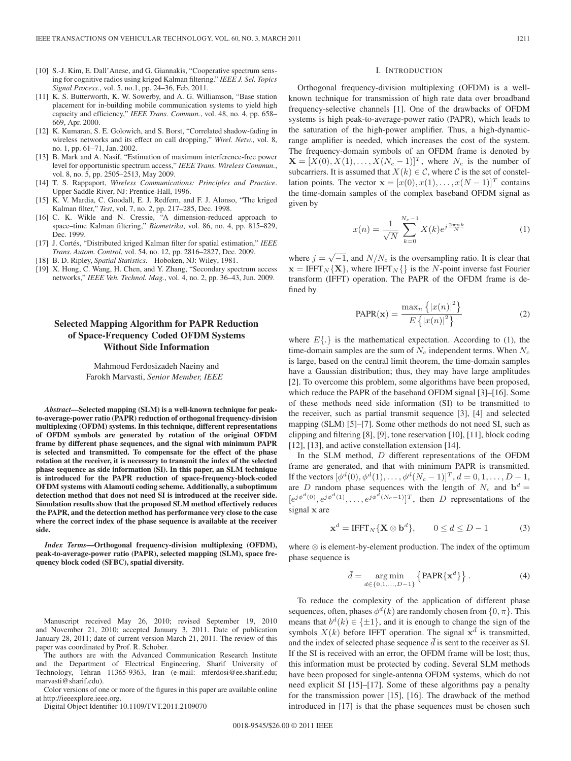- [10] S.-J. Kim, E. Dall'Anese, and G. Giannakis, "Cooperative spectrum sensing for cognitive radios using kriged Kalman filtering." *IEEE J. Sel. Topics Signal Process.*, vol. 5, no.1, pp. 24–36, Feb. 2011.
- [11] K. S. Butterworth, K. W. Sowerby, and A. G. Williamson, "Base station placement for in-building mobile communication systems to yield high capacity and efficiency," *IEEE Trans. Commun.*, vol. 48, no. 4, pp. 658– 669, Apr. 2000.
- [12] K. Kumaran, S. E. Golowich, and S. Borst, "Correlated shadow-fading in wireless networks and its effect on call dropping," *Wirel. Netw.*, vol. 8, no. 1, pp. 61–71, Jan. 2002.
- [13] B. Mark and A. Nasif, "Estimation of maximum interference-free power level for opportunistic spectrum access," *IEEE Trans. Wireless Commun.*, vol. 8, no. 5, pp. 2505–2513, May 2009.
- [14] T. S. Rappaport, *Wireless Communications: Principles and Practice*. Upper Saddle River, NJ: Prentice-Hall, 1996.
- [15] K. V. Mardia, C. Goodall, E. J. Redfern, and F. J. Alonso, "The kriged Kalman filter," *Test*, vol. 7, no. 2, pp. 217–285, Dec. 1998.
- [16] C. K. Wikle and N. Cressie, "A dimension-reduced approach to space–time Kalman filtering," *Biometrika*, vol. 86, no. 4, pp. 815–829, Dec. 1999.
- [17] J. Cortés, "Distributed kriged Kalman filter for spatial estimation," *IEEE Trans. Autom. Control*, vol. 54, no. 12, pp. 2816–2827, Dec. 2009.
- [18] B. D. Ripley, *Spatial Statistics*. Hoboken, NJ: Wiley, 1981.
- [19] X. Hong, C. Wang, H. Chen, and Y. Zhang, "Secondary spectrum access networks," *IEEE Veh. Technol. Mag.*, vol. 4, no. 2, pp. 36–43, Jun. 2009.

# **Selected Mapping Algorithm for PAPR Reduction of Space-Frequency Coded OFDM Systems Without Side Information**

Mahmoud Ferdosizadeh Naeiny and Farokh Marvasti, *Senior Member, IEEE*

*Abstract***—Selected mapping (SLM) is a well-known technique for peakto-average-power ratio (PAPR) reduction of orthogonal frequency-division multiplexing (OFDM) systems. In this technique, different representations of OFDM symbols are generated by rotation of the original OFDM frame by different phase sequences, and the signal with minimum PAPR is selected and transmitted. To compensate for the effect of the phase rotation at the receiver, it is necessary to transmit the index of the selected phase sequence as side information (SI). In this paper, an SLM technique is introduced for the PAPR reduction of space-frequency-block-coded OFDM systems with Alamouti coding scheme. Additionally, a suboptimum detection method that does not need SI is introduced at the receiver side. Simulation results show that the proposed SLM method effectively reduces the PAPR, and the detection method has performance very close to the case where the correct index of the phase sequence is available at the receiver side.**

*Index Terms***—Orthogonal frequency-division multiplexing (OFDM), peak-to-average-power ratio (PAPR), selected mapping (SLM), space frequency block coded (SFBC), spatial diversity.**

Manuscript received May 26, 2010; revised September 19, 2010 and November 21, 2010; accepted January 3, 2011. Date of publication January 28, 2011; date of current version March 21, 2011. The review of this paper was coordinated by Prof. R. Schober.

The authors are with the Advanced Communication Research Institute and the Department of Electrical Engineering, Sharif University of Technology, Tehran 11365-9363, Iran (e-mail: mferdosi@ee.sharif.edu; marvasti@sharif.edu).

Color versions of one or more of the figures in this paper are available online at http://ieeexplore.ieee.org.

Digital Object Identifier 10.1109/TVT.2011.2109070

#### I. INTRODUCTION

Orthogonal frequency-division multiplexing (OFDM) is a wellknown technique for transmission of high rate data over broadband frequency-selective channels [1]. One of the drawbacks of OFDM systems is high peak-to-average-power ratio (PAPR), which leads to the saturation of the high-power amplifier. Thus, a high-dynamicrange amplifier is needed, which increases the cost of the system. The frequency-domain symbols of an OFDM frame is denoted by  $\mathbf{X} = [X(0), X(1), \ldots, X(N_c-1)]^T$ , where  $N_c$  is the number of subcarriers. It is assumed that  $X(k) \in \mathcal{C}$ , where  $\mathcal{C}$  is the set of constellation points. The vector  $\mathbf{x} = [x(0), x(1), \dots, x(N-1)]^T$  contains the time-domain samples of the complex baseband OFDM signal as given by

$$
x(n) = \frac{1}{\sqrt{N}} \sum_{k=0}^{N_c - 1} X(k) e^{j\frac{2\pi nk}{N}}
$$
 (1)

where  $j = \sqrt{-1}$ , and  $N/N_c$  is the oversampling ratio. It is clear that **x** = IFFT<sup>N</sup> {**X**}, where IFFT<sup>N</sup> {} is the N-point inverse fast Fourier transform (IFFT) operation. The PAPR of the OFDM frame is defined by

$$
PAPR(\mathbf{x}) = \frac{\max_{n} \left\{ |x(n)|^2 \right\}}{E \left\{ |x(n)|^2 \right\}} \tag{2}
$$

where  $E\{\cdot\}$  is the mathematical expectation. According to (1), the time-domain samples are the sum of  $N_c$  independent terms. When  $N_c$ is large, based on the central limit theorem, the time-domain samples have a Gaussian distribution; thus, they may have large amplitudes [2]. To overcome this problem, some algorithms have been proposed, which reduce the PAPR of the baseband OFDM signal [3]–[16]. Some of these methods need side information (SI) to be transmitted to the receiver, such as partial transmit sequence [3], [4] and selected mapping (SLM) [5]–[7]. Some other methods do not need SI, such as clipping and filtering [8], [9], tone reservation [10], [11], block coding [12], [13], and active constellation extension [14].

In the SLM method, D different representations of the OFDM frame are generated, and that with minimum PAPR is transmitted. If the vectors  $[\phi^d(0), \phi^d(1), \dots, \phi^d(N_c - 1)]^T$ ,  $d = 0, 1, \dots, D - 1$ , are D random phase sequences with the length of  $N_c$  and  $\mathbf{b}^d =$  $[e^{j\phi^d(0)}, e^{j\phi^d(1)}, \ldots, e^{j\phi^d(N_c-1)}]^T$ , then D representations of the signal **x** are

$$
\mathbf{x}^d = \text{IFFT}_N \{ \mathbf{X} \otimes \mathbf{b}^d \}, \qquad 0 \le d \le D - 1 \tag{3}
$$

where ⊗ is element-by-element production. The index of the optimum phase sequence is

$$
\bar{d} = \underset{d \in \{0, 1, \dots, D-1\}}{\operatorname{arg\,min}} \left\{ \text{PAPR} \{ \mathbf{x}^d \} \right\}. \tag{4}
$$

To reduce the complexity of the application of different phase sequences, often, phases  $\phi^d(k)$  are randomly chosen from  $\{0, \pi\}$ . This means that  $b^d(k) \in {\pm 1}$ , and it is enough to change the sign of the symbols  $X(k)$  before IFFT operation. The signal  $x^d$  is transmitted, and the index of selected phase sequence  $\bar{d}$  is sent to the receiver as SI. If the SI is received with an error, the OFDM frame will be lost; thus, this information must be protected by coding. Several SLM methods have been proposed for single-antenna OFDM systems, which do not need explicit SI [15]–[17]. Some of these algorithms pay a penalty for the transmission power [15], [16]. The drawback of the method introduced in [17] is that the phase sequences must be chosen such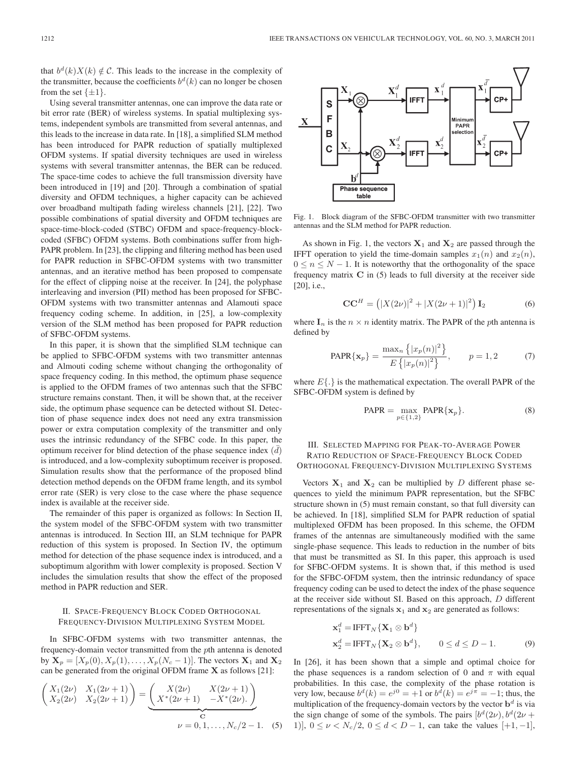that  $b^d(k)X(k) \notin \mathcal{C}$ . This leads to the increase in the complexity of the transmitter, because the coefficients  $b<sup>d</sup>(k)$  can no longer be chosen from the set  $\{\pm 1\}$ .

Using several transmitter antennas, one can improve the data rate or bit error rate (BER) of wireless systems. In spatial multiplexing systems, independent symbols are transmitted from several antennas, and this leads to the increase in data rate. In [18], a simplified SLM method has been introduced for PAPR reduction of spatially multiplexed OFDM systems. If spatial diversity techniques are used in wireless systems with several transmitter antennas, the BER can be reduced. The space-time codes to achieve the full transmission diversity have been introduced in [19] and [20]. Through a combination of spatial diversity and OFDM techniques, a higher capacity can be achieved over broadband multipath fading wireless channels [21], [22]. Two possible combinations of spatial diversity and OFDM techniques are space-time-block-coded (STBC) OFDM and space-frequency-blockcoded (SFBC) OFDM systems. Both combinations suffer from high-PAPR problem. In [23], the clipping and filtering method has been used for PAPR reduction in SFBC-OFDM systems with two transmitter antennas, and an iterative method has been proposed to compensate for the effect of clipping noise at the receiver. In [24], the polyphase interleaving and inversion (PII) method has been proposed for SFBC-OFDM systems with two transmitter antennas and Alamouti space frequency coding scheme. In addition, in [25], a low-complexity version of the SLM method has been proposed for PAPR reduction of SFBC-OFDM systems.

In this paper, it is shown that the simplified SLM technique can be applied to SFBC-OFDM systems with two transmitter antennas and Almouti coding scheme without changing the orthogonality of space frequency coding. In this method, the optimum phase sequence is applied to the OFDM frames of two antennas such that the SFBC structure remains constant. Then, it will be shown that, at the receiver side, the optimum phase sequence can be detected without SI. Detection of phase sequence index does not need any extra transmission power or extra computation complexity of the transmitter and only uses the intrinsic redundancy of the SFBC code. In this paper, the optimum receiver for blind detection of the phase sequence index  $(d)$ is introduced, and a low-complexity suboptimum receiver is proposed. Simulation results show that the performance of the proposed blind detection method depends on the OFDM frame length, and its symbol error rate (SER) is very close to the case where the phase sequence index is available at the receiver side.

The remainder of this paper is organized as follows: In Section II, the system model of the SFBC-OFDM system with two transmitter antennas is introduced. In Section III, an SLM technique for PAPR reduction of this system is proposed. In Section IV, the optimum method for detection of the phase sequence index is introduced, and a suboptimum algorithm with lower complexity is proposed. Section V includes the simulation results that show the effect of the proposed method in PAPR reduction and SER.

## II. SPACE-FREQUENCY BLOCK CODED ORTHOGONAL FREQUENCY-DIVISION MULTIPLEXING SYSTEM MODEL

In SFBC-OFDM systems with two transmitter antennas, the frequency-domain vector transmitted from the pth antenna is denoted by  $X_p = [X_p(0), X_p(1), \ldots, X_p(N_c - 1)].$  The vectors  $X_1$  and  $X_2$ can be generated from the original OFDM frame **X** as follows [21]:

$$
\begin{pmatrix} X_1(2\nu) & X_1(2\nu+1) \\ X_2(2\nu) & X_2(2\nu+1) \end{pmatrix} = \underbrace{\begin{pmatrix} X(2\nu) & X(2\nu+1) \\ X^*(2\nu+1) & -X^*(2\nu). \end{pmatrix}}_{\mathcal{C}} \qquad \nu = 0, 1, \dots, N_c/2 - 1. \quad (5)
$$



Fig. 1. Block diagram of the SFBC-OFDM transmitter with two transmitter antennas and the SLM method for PAPR reduction.

As shown in Fig. 1, the vectors  $X_1$  and  $X_2$  are passed through the IFFT operation to yield the time-domain samples  $x_1(n)$  and  $x_2(n)$ ,  $0 \le n \le N - 1$ . It is noteworthy that the orthogonality of the space frequency matrix **C** in (5) leads to full diversity at the receiver side [20], i.e.,

$$
CC^{H} = (|X(2\nu)|^{2} + |X(2\nu + 1)|^{2}) I_{2}
$$
 (6)

where  $\mathbf{I}_n$  is the  $n \times n$  identity matrix. The PAPR of the *pth* antenna is defined by

PAPR{
$$
\mathbf{x}_p
$$
} =  $\frac{\max_n \{|x_p(n)|^2\}}{E\{|x_p(n)|^2\}}, \quad p = 1, 2$  (7)

where  $E\{\cdot\}$  is the mathematical expectation. The overall PAPR of the SFBC-OFDM system is defined by

$$
PAPR = \max_{p \in \{1,2\}} PAPR\{\mathbf{x}_p\}.
$$
 (8)

# III. SELECTED MAPPING FOR PEAK-TO-AVERAGE POWER RATIO REDUCTION OF SPACE-FREQUENCY BLOCK CODED ORTHOGONAL FREQUENCY-DIVISION MULTIPLEXING SYSTEMS

Vectors  $X_1$  and  $X_2$  can be multiplied by D different phase sequences to yield the minimum PAPR representation, but the SFBC structure shown in (5) must remain constant, so that full diversity can be achieved. In [18], simplified SLM for PAPR reduction of spatial multiplexed OFDM has been proposed. In this scheme, the OFDM frames of the antennas are simultaneously modified with the same single-phase sequence. This leads to reduction in the number of bits that must be transmitted as SI. In this paper, this approach is used for SFBC-OFDM systems. It is shown that, if this method is used for the SFBC-OFDM system, then the intrinsic redundancy of space frequency coding can be used to detect the index of the phase sequence at the receiver side without SI. Based on this approach, D different representations of the signals  $x_1$  and  $x_2$  are generated as follows:

$$
\mathbf{x}_1^d = \text{IFFT}_N \{ \mathbf{X}_1 \otimes \mathbf{b}^d \}
$$
  
\n
$$
\mathbf{x}_2^d = \text{IFFT}_N \{ \mathbf{X}_2 \otimes \mathbf{b}^d \}, \qquad 0 \le d \le D - 1.
$$
 (9)

In [26], it has been shown that a simple and optimal choice for the phase sequences is a random selection of 0 and  $\pi$  with equal probabilities. In this case, the complexity of the phase rotation is very low, because  $b^d(k) = e^{j0} = +1$  or  $b^d(k) = e^{j\pi} = -1$ ; thus, the multiplication of the frequency-domain vectors by the vector  $\mathbf{b}^d$  is via the sign change of some of the symbols. The pairs  $[b^d(2\nu), b^d(2\nu +$ 1)],  $0 \le \nu < N_c/2$ ,  $0 \le d < D - 1$ , can take the values [+1, -1],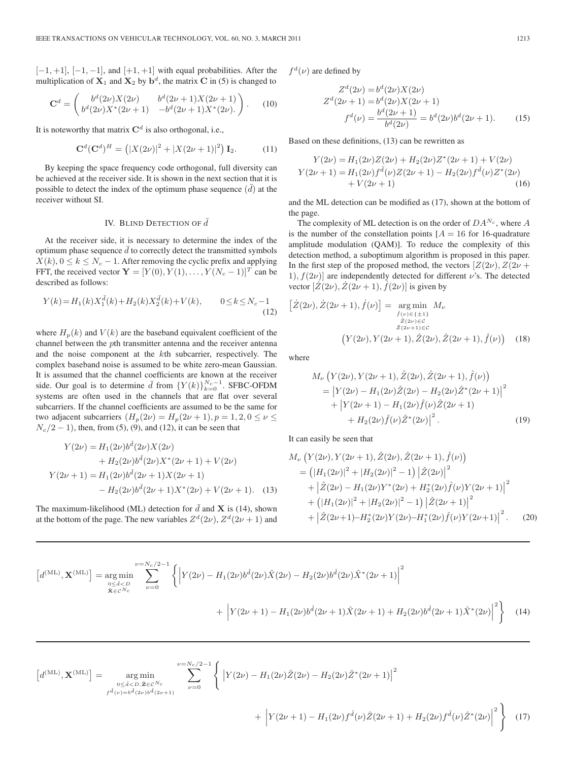$[-1, +1]$ ,  $[-1, -1]$ , and  $[+1, +1]$  with equal probabilities. After the multiplication of  $X_1$  and  $X_2$  by  $b^d$ , the matrix **C** in (5) is changed to

$$
\mathbf{C}^d = \begin{pmatrix} b^d (2\nu) X (2\nu) & b^d (2\nu + 1) X (2\nu + 1) \\ b^d (2\nu) X^* (2\nu + 1) & -b^d (2\nu + 1) X^* (2\nu). \end{pmatrix} .
$$
 (10)

It is noteworthy that matrix  $\mathbf{C}^d$  is also orthogonal, i.e.,

$$
\mathbf{C}^{d}(\mathbf{C}^{d})^{H} = (|X(2\nu)|^{2} + |X(2\nu + 1)|^{2}) \mathbf{I}_{2}.
$$
 (11)

By keeping the space frequency code orthogonal, full diversity can be achieved at the receiver side. It is shown in the next section that it is possible to detect the index of the optimum phase sequence  $(\bar{d})$  at the receiver without SI.

### IV. BLIND DETECTION OF  $\bar{d}$

At the receiver side, it is necessary to determine the index of the optimum phase sequence  $d$  to correctly detect the transmitted symbols  $X(k)$ ,  $0 \le k \le N_c - 1$ . After removing the cyclic prefix and applying FFT, the received vector  $\mathbf{Y} = [Y(0), Y(1), \dots, Y(N_c - 1)]^T$  can be described as follows:

$$
Y(k) = H_1(k)X_1^{\bar{d}}(k) + H_2(k)X_2^{\bar{d}}(k) + V(k), \qquad 0 \le k \le N_c - 1
$$
\n(12)

where  $H_p(k)$  and  $V(k)$  are the baseband equivalent coefficient of the channel between the pth transmitter antenna and the receiver antenna and the noise component at the kth subcarrier, respectively. The complex baseband noise is assumed to be white zero-mean Gaussian. It is assumed that the channel coefficients are known at the receiver side. Our goal is to determine  $\bar{d}$  from  $\{Y(k)\}_{k=0}^{N_c-1}$ . SFBC-OFDM systems are often used in the channels that are flat over several subcarriers. If the channel coefficients are assumed to be the same for two adjacent subcarriers  $(H_p(2\nu) = H_p(2\nu + 1), p = 1, 2, 0 \le \nu \le$  $N_c/2 - 1$ , then, from (5), (9), and (12), it can be seen that

$$
Y(2\nu) = H_1(2\nu)b^{\bar{d}}(2\nu)X(2\nu)
$$
  
+ H\_2(2\nu)b^{\bar{d}}(2\nu)X^\*(2\nu + 1) + V(2\nu)  

$$
Y(2\nu + 1) = H_1(2\nu)b^{\bar{d}}(2\nu + 1)X(2\nu + 1)
$$
  
- H\_2(2\nu)b^{\bar{d}}(2\nu + 1)X^\*(2\nu) + V(2\nu + 1). (13)

The maximum-likelihood (ML) detection for  $\bar{d}$  and **X** is (14), shown at the bottom of the page. The new variables  $Z^d(2\nu)$ ,  $Z^d(2\nu+1)$  and  $f^d(\nu)$  are defined by

$$
Z^{d}(2\nu) = b^{d}(2\nu)X(2\nu)
$$
  
\n
$$
Z^{d}(2\nu + 1) = b^{d}(2\nu)X(2\nu + 1)
$$
  
\n
$$
f^{d}(\nu) = \frac{b^{d}(2\nu + 1)}{b^{d}(2\nu)} = b^{d}(2\nu)b^{d}(2\nu + 1).
$$
 (15)

Based on these definitions, (13) can be rewritten as

$$
Y(2\nu) = H_1(2\nu)Z(2\nu) + H_2(2\nu)Z^*(2\nu + 1) + V(2\nu)
$$
  
\n
$$
Y(2\nu + 1) = H_1(2\nu)f^{\bar{d}}(\nu)Z(2\nu + 1) - H_2(2\nu)f^{\bar{d}}(\nu)Z^*(2\nu)
$$
  
\n
$$
+ V(2\nu + 1)
$$
\n(16)

and the ML detection can be modified as (17), shown at the bottom of the page.

The complexity of ML detection is on the order of  $DA^{N_c}$ , where A is the number of the constellation points  $[A = 16$  for 16-quadrature amplitude modulation (QAM)]. To reduce the complexity of this detection method, a suboptimum algorithm is proposed in this paper. In the first step of the proposed method, the vectors  $Z(2\nu)$ ,  $Z(2\nu +$ 1),  $f(2\nu)$  are independently detected for different  $\nu$ 's. The detected vector  $[\dot{Z}(2\nu), \dot{Z}(2\nu+1), \dot{f}(2\nu)]$  is given by

$$
\left[\dot{Z}(2\nu), \dot{Z}(2\nu+1), \dot{f}(\nu)\right] = \underset{\substack{\hat{f}(\nu) \in \{\pm 1\} \\ \hat{Z}(2\nu) \in \mathcal{C} \\ \hat{Z}(2\nu+1) \in \mathcal{C}}} {\underset{\hat{Z}(2\nu+1) \in \mathcal{C}}{\underset{\hat{Z}(2\nu+1) \in \mathcal{C}}{\underset{\hat{Z}(2\nu+1) \in \mathcal{C}}{\underset{\hat{Z}(2\nu+1) \in \hat{Y}}{\underset{\hat{Z}(2\nu+1) \in \hat{Y}}{\underset{\hat{Z}(2\nu+1) \in \hat{Y}}{\underset{\hat{Z}(2\nu+1) \in \hat{Y}}{\underset{\hat{Z}(2\nu+1) \in \hat{Y}}{\underset{\hat{Z}(2\nu+1) \in \hat{Y}}{\underset{\hat{Z}(2\nu+1) \in \hat{Y}}{\underset{\hat{Z}(2\nu+1) \in \hat{Y}}{\underset{\hat{Z}(2\nu+1) \in \hat{Y}}{\underset{\hat{Z}(2\nu+1) \in \hat{Y}}{\underset{\hat{Z}(2\nu+1) \in \hat{Y}}{\underset{\hat{Z}(2\nu+1) \in \hat{Y}}{\underset{\hat{Z}(2\nu+1) \in \hat{Y}}{\underset{\hat{Z}(2\nu+1) \in \hat{Y}}{\underset{\hat{Z}(2\nu+1) \in \hat{Y}}{\underset{\hat{Z}(2\nu+1) \in \hat{Y}}{\underset{\hat{Z}(2\nu+1) \in \hat{Y}}{\underset{\hat{Z}(2\nu+1) \in \hat{Y}}{\underset{\hat{Z}(2\nu+1) \in \hat{Y}}{\underset{\hat{Z}(2\nu+1) \in \hat{Y}}{\underset{\hat{Z}(2\nu+1) \in \hat{Y}}{\underset{\hat{Z}(2\nu+1) \in \hat{Y}}{\underset{\hat{Z}(2\nu+1) \in \hat{Y}}{\underset{\hat{Z}(2\nu+1) \in \hat{Y}}{\underset{\hat{Z}(2\nu+1) \in \hat{Y}}{\underset{\hat{Z}(2\nu+1) \in \hat{Y}}{\underset{\hat{Z}(2\nu+1) \in \hat{Y}}{\underset{\hat{Z}(2\nu+1) \in \hat{Y}}{\underset{\hat{Z}(2\nu+
$$

where

$$
M_{\nu}\left(Y(2\nu), Y(2\nu+1), \hat{Z}(2\nu), \hat{Z}(2\nu+1), \hat{f}(\nu)\right)
$$
  
= 
$$
\left|Y(2\nu) - H_1(2\nu)\hat{Z}(2\nu) - H_2(2\nu)\hat{Z}^*(2\nu+1)\right|^2
$$
  
+ 
$$
\left|Y(2\nu+1) - H_1(2\nu)\hat{f}(\nu)\hat{Z}(2\nu+1)\right|^2
$$
  
+ 
$$
H_2(2\nu)\hat{f}(\nu)\hat{Z}^*(2\nu)\right|^2.
$$
 (19)

It can easily be seen that

$$
M_{\nu} \left(Y(2\nu), Y(2\nu+1), \hat{Z}(2\nu), \hat{Z}(2\nu+1), \hat{f}(\nu)\right)
$$
  
=  $\left(|H_1(2\nu)|^2 + |H_2(2\nu)|^2 - 1\right) \left|\hat{Z}(2\nu)\right|^2$   
+  $\left|\hat{Z}(2\nu) - H_1(2\nu)Y^*(2\nu) + H_2^*(2\nu)\hat{f}(\nu)Y(2\nu+1)\right|^2$   
+  $\left(|H_1(2\nu)|^2 + |H_2(2\nu)|^2 - 1\right) \left|\hat{Z}(2\nu+1)\right|^2$   
+  $\left|\hat{Z}(2\nu+1) - H_2^*(2\nu)Y(2\nu) - H_1^*(2\nu)\hat{f}(\nu)Y(2\nu+1)\right|^2$ . (20)

$$
\left[d^{(ML)}, \mathbf{X}^{(ML)}\right] = \underset{\substack{0 \le d < D \\ \mathbf{X} \in \mathcal{C}^{N_c}}}{\arg \min} \sum_{\nu=0}^{\nu=N_c/2-1} \left\{ \left| Y(2\nu) - H_1(2\nu)b^{\hat{d}}(2\nu)\hat{X}(2\nu) - H_2(2\nu)b^{\hat{d}}(2\nu)\hat{X}^*(2\nu+1) \right|^2 \right. \\ \left. + \left| Y(2\nu+1) - H_1(2\nu)b^{\hat{d}}(2\nu+1)\hat{X}(2\nu+1) + H_2(2\nu)b^{\hat{d}}(2\nu+1)\hat{X}^*(2\nu) \right|^2 \right\} \tag{14}
$$

$$
\left[d^{(ML)}, \mathbf{X}^{(ML)}\right] = \underset{f^{\hat{d}}(\nu) = b^{\hat{d}}(2\nu)b^{\hat{d}}(2\nu+1)}{\arg\min} \sum_{\nu=0}^{\nu=N_c/2-1} \left\{ \left| Y(2\nu) - H_1(2\nu)\hat{Z}(2\nu) - H_2(2\nu)\hat{Z}^*(2\nu+1) \right|^2 + \left| Y(2\nu+1) - H_1(2\nu)f^{\hat{d}}(\nu)\hat{Z}(2\nu+1) + H_2(2\nu)f^{\hat{d}}(\nu)\hat{Z}^*(2\nu) \right|^2 \right\} \tag{17}
$$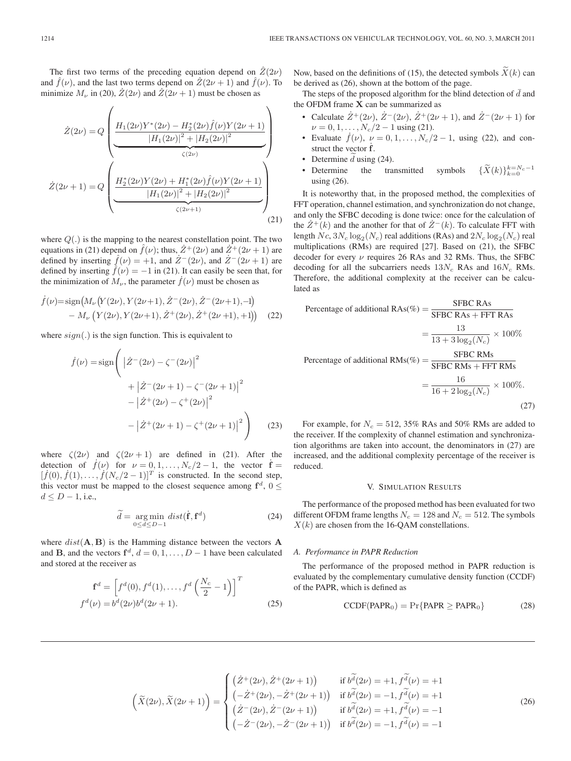The first two terms of the preceding equation depend on  $Z(2\nu)$ and  $f(\nu)$ , and the last two terms depend on  $\mathbb{Z}(2\nu + 1)$  and  $f(\nu)$ . To minimize  $M_{\nu}$  in (20),  $Z(2\nu)$  and  $Z(2\nu + 1)$  must be chosen as

$$
\dot{Z}(2\nu) = Q \left( \frac{H_1(2\nu)Y^*(2\nu) - H_2^*(2\nu)\hat{f}(\nu)Y(2\nu+1)}{|H_1(2\nu)|^2 + |H_2(2\nu)|^2} \right)
$$
\n
$$
\dot{Z}(2\nu+1) = Q \left( \frac{H_2^*(2\nu)Y(2\nu) + H_1^*(2\nu)\hat{f}(\nu)Y(2\nu+1)}{|H_1(2\nu)|^2 + |H_2(2\nu)|^2} \right)
$$
\n
$$
\frac{\left(H_2^*(2\nu)Y(2\nu) + H_1^*(2\nu)\hat{f}(\nu)Y(2\nu+1)\right)}{\left(G(2\nu+1)\right)} \tag{21}
$$

where  $Q(.)$  is the mapping to the nearest constellation point. The two equations in (21) depend on  $\hat{f}(\nu)$ ; thus,  $\dot{Z}^+(2\nu)$  and  $\dot{Z}^+(2\nu+1)$  are defined by inserting  $\hat{f}(\nu) = +1$ , and  $\hat{Z}^-(2\nu)$ , and  $\hat{Z}^-(2\nu+1)$  are defined by inserting  $\hat{f}(\nu) = -1$  in (21). It can easily be seen that, for the minimization of  $M_{\nu}$ , the parameter  $\dot{f}(\nu)$  must be chosen as

$$
\dot{f}(\nu) = \text{sign}\big(M_{\nu}\big(Y(2\nu), Y(2\nu+1), \dot{Z}^-(2\nu), \dot{Z}^-(2\nu+1), -1\big) - M_{\nu}\big(Y(2\nu), Y(2\nu+1), \dot{Z}^+(2\nu), \dot{Z}^+(2\nu+1), +1\big)\big) \tag{22}
$$

where  $sign(.)$  is the sign function. This is equivalent to

$$
\dot{f}(\nu) = \text{sign}\left( \left| \dot{Z}^{-}(2\nu) - \zeta^{-}(2\nu) \right|^{2} + \left| \dot{Z}^{-}(2\nu + 1) - \zeta^{-}(2\nu + 1) \right|^{2} - \left| \dot{Z}^{+}(2\nu) - \zeta^{+}(2\nu) \right|^{2} - \left| \dot{Z}^{+}(2\nu + 1) - \zeta^{+}(2\nu + 1) \right|^{2} \right)
$$
(23)

where  $\zeta(2\nu)$  and  $\zeta(2\nu+1)$  are defined in (21). After the detection of  $\dot{f}(\nu)$  for  $\nu = 0, 1, ..., N_c/2 - 1$ , the vector  $\dot{f} =$  $[f(0), f(1), \ldots, f(N_c/2-1)]^T$  is constructed. In the second step, this vector must be mapped to the closest sequence among  $f^d$ ,  $0 \leq$  $d \le D - 1$ , i.e.,

$$
\widetilde{d} = \underset{0 \le d \le D-1}{\arg \min} dist(\dot{\mathbf{f}}, \mathbf{f}^d)
$$
\n(24)

where  $dist(\mathbf{A}, \mathbf{B})$  is the Hamming distance between the vectors  $\mathbf{A}$ and **B**, and the vectors  $f^d$ ,  $d = 0, 1, \ldots, D - 1$  have been calculated and stored at the receiver as

$$
\mathbf{f}^{d} = \left[ f^{d}(0), f^{d}(1), \dots, f^{d}\left(\frac{N_{c}}{2} - 1\right) \right]^{T}
$$
  

$$
f^{d}(\nu) = b^{d}(2\nu)b^{d}(2\nu + 1).
$$
 (25)

Now, based on the definitions of (15), the detected symbols  $\widetilde{X}(k)$  can be derived as (26), shown at the bottom of the page.

The steps of the proposed algorithm for the blind detection of  $\bar{d}$  and the OFDM frame **X** can be summarized as

- Calculate  $\dot{Z}^+(2\nu), \dot{Z}^-(2\nu), \dot{Z}^+(2\nu+1),$  and  $\dot{Z}^-(2\nu+1)$  for  $\nu = 0, 1, \ldots, N_c/2 - 1$  using (21).
- Evaluate  $\dot{f}(\nu)$ ,  $\nu = 0, 1, ..., N_c/2 1$ , using (22), and construct the vector  $\dot{f}$ .
- Determine  $d$  using (24).
- Determine the transmitted symbols  $\{\widetilde{X}(k)\}_{k=0}^{k=N_c-1}$ using (26).

It is noteworthy that, in the proposed method, the complexities of FFT operation, channel estimation, and synchronization do not change, and only the SFBC decoding is done twice: once for the calculation of the  $Z^+(k)$  and the another for that of  $Z^-(k)$ . To calculate FFT with length  $Nc$ ,  $3N_c \log_2(N_c)$  real additions (RAs) and  $2N_c \log_2(N_c)$  real multiplications (RMs) are required [27]. Based on (21), the SFBC decoder for every  $\nu$  requires 26 RAs and 32 RMs. Thus, the SFBC decoding for all the subcarriers needs  $13N_c$  RAs and  $16N_c$  RMs. Therefore, the additional complexity at the receiver can be calculated as

Percentage of additional RAs(
$$
\%
$$
) =  $\frac{\text{SFBC RAs}}{\text{SFBC RAs} + \text{FFT RAs}}$   
=  $\frac{13}{13 + 3 \log_2(N_c)} \times 100\%$   
Percentage of additional RMs( $\%$ ) =  $\frac{\text{SFBC RMs}}{\text{SFBC RMs} + \text{FFT RMs}}$   
=  $\frac{16}{16 + 2 \log_2(N_c)} \times 100\%$ . (27)

For example, for  $N_c = 512, 35\%$  RAs and 50% RMs are added to the receiver. If the complexity of channel estimation and synchronization algorithms are taken into account, the denominators in (27) are increased, and the additional complexity percentage of the receiver is reduced.

#### V. SIMULATION RESULTS

The performance of the proposed method has been evaluated for two different OFDM frame lengths  $N_c = 128$  and  $N_c = 512$ . The symbols  $X(k)$  are chosen from the 16-QAM constellations.

#### *A. Performance in PAPR Reduction*

The performance of the proposed method in PAPR reduction is evaluated by the complementary cumulative density function (CCDF) of the PAPR, which is defined as

$$
CCDF(PAPR0) = Pr{PAPR \geq PAPR0}
$$
 (28)

$$
\left(\tilde{X}(2\nu), \tilde{X}(2\nu+1)\right) = \begin{cases}\n\left(\dot{Z}^+(2\nu), \dot{Z}^+(2\nu+1)\right) & \text{if } b\tilde{d}(2\nu) = +1, f\tilde{d}(\nu) = +1 \\
\left(-\dot{Z}^+(2\nu), -\dot{Z}^+(2\nu+1)\right) & \text{if } b\tilde{d}(2\nu) = -1, f\tilde{d}(\nu) = +1 \\
\left(\dot{Z}^-(2\nu), \dot{Z}^-(2\nu+1)\right) & \text{if } b\tilde{d}(2\nu) = +1, f\tilde{d}(\nu) = -1 \\
\left(-\dot{Z}^-(2\nu), -\dot{Z}^-(2\nu+1)\right) & \text{if } b\tilde{d}(2\nu) = -1, f\tilde{d}(\nu) = -1\n\end{cases}
$$
\n(26)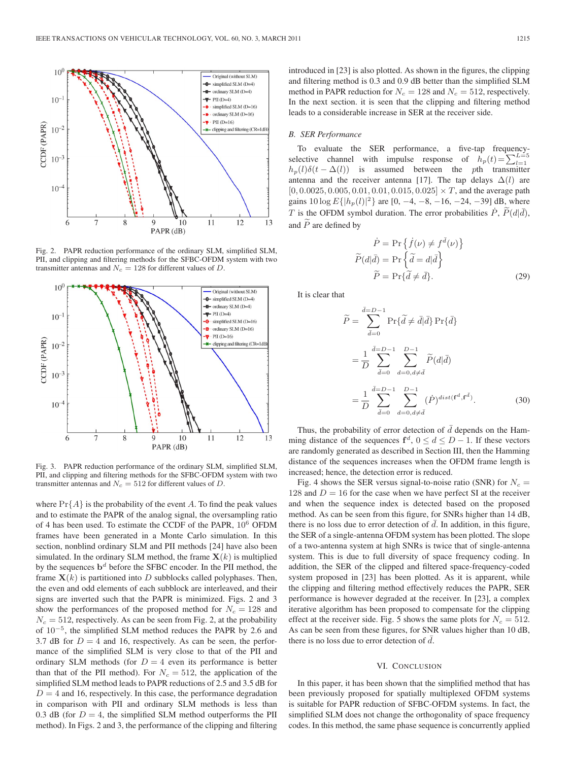

Fig. 2. PAPR reduction performance of the ordinary SLM, simplified SLM, PII, and clipping and filtering methods for the SFBC-OFDM system with two transmitter antennas and  $N_c = 128$  for different values of D.



Fig. 3. PAPR reduction performance of the ordinary SLM, simplified SLM, PII, and clipping and filtering methods for the SFBC-OFDM system with two transmitter antennas and  $N_c = 512$  for different values of D.

where  $Pr{A}$  is the probability of the event A. To find the peak values and to estimate the PAPR of the analog signal, the oversampling ratio of 4 has been used. To estimate the CCDF of the PAPR,  $10^6$  OFDM frames have been generated in a Monte Carlo simulation. In this section, nonblind ordinary SLM and PII methods [24] have also been simulated. In the ordinary SLM method, the frame  $X(k)$  is multiplied by the sequences  $\mathbf{b}^d$  before the SFBC encoder. In the PII method, the frame  $X(k)$  is partitioned into D subblocks called polyphases. Then, the even and odd elements of each subblock are interleaved, and their signs are inverted such that the PAPR is minimized. Figs. 2 and 3 show the performances of the proposed method for  $N_c = 128$  and  $N_c = 512$ , respectively. As can be seen from Fig. 2, at the probability of 10<sup>−</sup><sup>5</sup>, the simplified SLM method reduces the PAPR by 2.6 and 3.7 dB for  $D = 4$  and 16, respectively. As can be seen, the performance of the simplified SLM is very close to that of the PII and ordinary SLM methods (for  $D = 4$  even its performance is better than that of the PII method). For  $N_c = 512$ , the application of the simplified SLM method leads to PAPR reductions of 2.5 and 3.5 dB for  $D = 4$  and 16, respectively. In this case, the performance degradation in comparison with PII and ordinary SLM methods is less than 0.3 dB (for  $D = 4$ , the simplified SLM method outperforms the PII method). In Figs. 2 and 3, the performance of the clipping and filtering

#### *B. SER Performance*

To evaluate the SER performance, a five-tap frequencyselective channel with impulse response of  $h_p(t) = \sum_{l=1}^{L=5} L_l$  $h_p(l)\delta(t - \Delta(l))$  is assumed between the pth transmitter antenna and the receiver antenna [17]. The tap delays  $\Delta(l)$  are  $[0, 0.0025, 0.005, 0.01, 0.01, 0.015, 0.025] \times T$ , and the average path gains  $10 \log E\{|h_p(l)|^2\}$  are  $[0, -4, -8, -16, -24, -39]$  dB, where T is the OFDM symbol duration. The error probabilities  $\dot{P}$ ,  $P(d|\bar{d})$ , and  $\widetilde{P}$  are defined by

$$
\dot{P} = \Pr \{ \dot{f}(\nu) \neq f^{\bar{d}}(\nu) \}
$$

$$
\widetilde{P}(d|\bar{d}) = \Pr \{ \widetilde{d} = d|\bar{d} \}
$$

$$
\widetilde{P} = \Pr \{ \widetilde{d} \neq \bar{d} \}.
$$
(29)

It is clear that

$$
\widetilde{P} = \sum_{\bar{d}=0}^{\bar{d}=D-1} \Pr{\{\tilde{d} \neq \bar{d} | \bar{d}\}} \Pr{\{\bar{d}\}}
$$
\n
$$
= \frac{1}{D} \sum_{\bar{d}=0}^{\bar{d}=D-1} \sum_{d=0, d \neq \bar{d}}^{D-1} \widetilde{P}(d|\bar{d})
$$
\n
$$
= \frac{1}{D} \sum_{\bar{d}=0}^{\bar{d}=D-1} \sum_{d=0, d \neq \bar{d}}^{D-1} (\dot{P})^{dist(\mathbf{f}^d, \mathbf{f}^{\bar{d}})}.
$$
\n(30)

Thus, the probability of error detection of  $d$  depends on the Hamming distance of the sequences  $f^d$ ,  $0 \le d \le D - 1$ . If these vectors are randomly generated as described in Section III, then the Hamming distance of the sequences increases when the OFDM frame length is increased; hence, the detection error is reduced.

Fig. 4 shows the SER versus signal-to-noise ratio (SNR) for  $N_c =$ 128 and  $D = 16$  for the case when we have perfect SI at the receiver and when the sequence index is detected based on the proposed method. As can be seen from this figure, for SNRs higher than 14 dB, there is no loss due to error detection of  $\overline{d}$ . In addition, in this figure, the SER of a single-antenna OFDM system has been plotted. The slope of a two-antenna system at high SNRs is twice that of single-antenna system. This is due to full diversity of space frequency coding. In addition, the SER of the clipped and filtered space-frequency-coded system proposed in [23] has been plotted. As it is apparent, while the clipping and filtering method effectively reduces the PAPR, SER performance is however degraded at the receiver. In [23], a complex iterative algorithm has been proposed to compensate for the clipping effect at the receiver side. Fig. 5 shows the same plots for  $N_c = 512$ . As can be seen from these figures, for SNR values higher than 10 dB, there is no loss due to error detection of  $d$ .

#### VI. CONCLUSION

In this paper, it has been shown that the simplified method that has been previously proposed for spatially multiplexed OFDM systems is suitable for PAPR reduction of SFBC-OFDM systems. In fact, the simplified SLM does not change the orthogonality of space frequency codes. In this method, the same phase sequence is concurrently applied